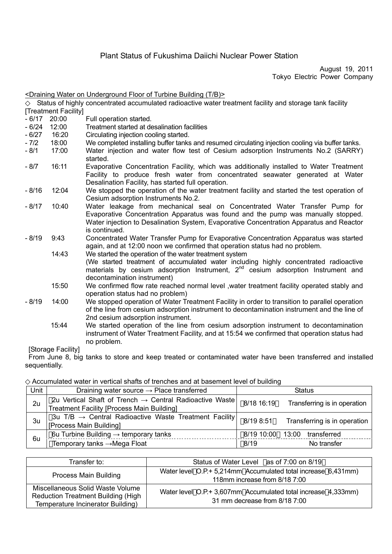# Plant Status of Fukushima Daiichi Nuclear Power Station

August 19, 2011 Tokyo Electric Power Company

| <draining (t="" b)="" building="" floor="" of="" on="" turbine="" underground="" water=""></draining> |                         |                                                                                                                                                                                                                                                                            |  |  |  |
|-------------------------------------------------------------------------------------------------------|-------------------------|----------------------------------------------------------------------------------------------------------------------------------------------------------------------------------------------------------------------------------------------------------------------------|--|--|--|
|                                                                                                       |                         | Status of highly concentrated accumulated radioactive water treatment facility and storage tank facility                                                                                                                                                                   |  |  |  |
|                                                                                                       | [Treatment Facility]    |                                                                                                                                                                                                                                                                            |  |  |  |
| $-6/17$                                                                                               | 20:00                   | Full operation started.                                                                                                                                                                                                                                                    |  |  |  |
| $-6/24$                                                                                               | 12:00                   | Treatment started at desalination facilities                                                                                                                                                                                                                               |  |  |  |
| $-6/27$                                                                                               | 16:20                   | Circulating injection cooling started.                                                                                                                                                                                                                                     |  |  |  |
| $-7/2$                                                                                                | 18:00                   | We completed installing buffer tanks and resumed circulating injection cooling via buffer tanks.                                                                                                                                                                           |  |  |  |
| $-8/1$                                                                                                | 17:00                   | Water injection and water flow test of Cesium adsorption Instruments No.2 (SARRY)<br>started.                                                                                                                                                                              |  |  |  |
| $-8/7$                                                                                                | 16:11                   | Evaporative Concentration Facility, which was additionally installed to Water Treatment<br>Facility to produce fresh water from concentrated seawater generated at Water<br>Desalination Facility, has started full operation.                                             |  |  |  |
| $-8/16$                                                                                               | 12:04                   | We stopped the operation of the water treatment facility and started the test operation of<br>Cesium adsorption Instruments No.2.                                                                                                                                          |  |  |  |
| $-8/17$                                                                                               | 10:40                   | Water leakage from mechanical seal on Concentrated Water Transfer Pump for<br>Evaporative Concentration Apparatus was found and the pump was manually stopped.<br>Water injection to Desalination System, Evaporative Concentration Apparatus and Reactor<br>is continued. |  |  |  |
| $-8/19$                                                                                               | 9:43                    | Concentrated Water Transfer Pump for Evaporative Concentration Apparatus was started<br>again, and at 12:00 noon we confirmed that operation status had no problem.                                                                                                        |  |  |  |
|                                                                                                       | 14:43                   | We started the operation of the water treatment system<br>(We started treatment of accumulated water including highly concentrated radioactive<br>materials by cesium adsorption Instrument, 2 <sup>nd</sup> cesium adsorption Instrument and                              |  |  |  |
|                                                                                                       | 15:50                   | decontamination instrument)<br>We confirmed flow rate reached normal level, water treatment facility operated stably and<br>operation status had no problem)                                                                                                               |  |  |  |
| $-8/19$                                                                                               | 14:00                   | We stopped operation of Water Treatment Facility in order to transition to parallel operation<br>of the line from cesium adsorption instrument to decontamination instrument and the line of<br>2nd cesium adsorption instrument.                                          |  |  |  |
|                                                                                                       | 15:44                   | We started operation of the line from cesium adsorption instrument to decontamination<br>instrument of Water Treatment Facility, and at 15:54 we confirmed that operation status had<br>no problem.                                                                        |  |  |  |
|                                                                                                       | <b>Storage Eacility</b> |                                                                                                                                                                                                                                                                            |  |  |  |

[Storage Facility]

From June 8, big tanks to store and keep treated or contaminated water have been transferred and installed sequentially.

## Accumulated water in vertical shafts of trenches and at basement level of building

| Unit | Draining water source $\rightarrow$ Place transferred                                                                    | <b>Status</b>            |                              |  |
|------|--------------------------------------------------------------------------------------------------------------------------|--------------------------|------------------------------|--|
| 2u   | 2u Vertical Shaft of Trench $\rightarrow$ Central Radioactive Waste<br><b>Treatment Facility [Process Main Building]</b> | 8/18 16:19               | Transferring is in operation |  |
| 3u   | 3u T/B $\rightarrow$ Central Radioactive Waste Treatment Facility<br>[Process Main Building]                             | 8/19 8:51                | Transferring is in operation |  |
| 6u   | 6u Turbine Building $\rightarrow$ temporary tanks<br>Temporary tanks $\rightarrow$ Mega Float                            | 8/19 10:00 13:00<br>8/19 | transferred<br>No transfer   |  |

| Transfer to:                              | Status of Water Level as of 7:00 on 8/19                                                       |  |  |
|-------------------------------------------|------------------------------------------------------------------------------------------------|--|--|
| Process Main Building                     | Water level O.P.+ 5,214mm Accumulated total increase 6,431mm)                                  |  |  |
|                                           | 118mm increase from 8/18 7:00                                                                  |  |  |
| Miscellaneous Solid Waste Volume          | Water level O.P.+ 3,607mm Accumulated total increase 4,333mm)<br>31 mm decrease from 8/18 7:00 |  |  |
| <b>Reduction Treatment Building (High</b> |                                                                                                |  |  |
| Temperature Incinerator Building)         |                                                                                                |  |  |